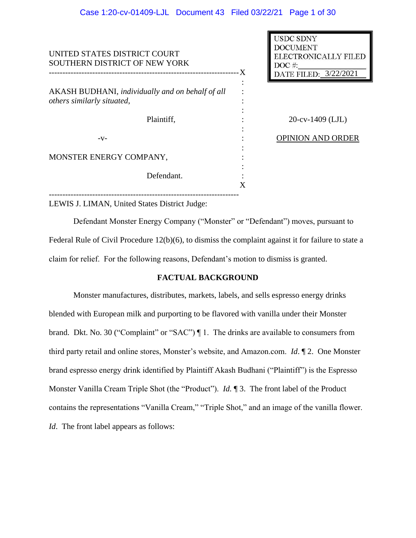| UNITED STATES DISTRICT COURT<br>SOUTHERN DISTRICT OF NEW YORK                  | X | <b>USDC SDNY</b><br><b>DOCUMENT</b><br>ELECTRONICALLY FILED<br>$DOC$ #:<br>DATE FILED: 3/22/2021 |
|--------------------------------------------------------------------------------|---|--------------------------------------------------------------------------------------------------|
| AKASH BUDHANI, individually and on behalf of all<br>others similarly situated, |   |                                                                                                  |
| Plaintiff,                                                                     |   | $20$ -cv-1409 (LJL)                                                                              |
| $-V-$                                                                          |   | <b>OPINION AND ORDER</b>                                                                         |
| MONSTER ENERGY COMPANY,                                                        |   |                                                                                                  |
| Defendant.                                                                     |   |                                                                                                  |

LEWIS J. LIMAN, United States District Judge:

Defendant Monster Energy Company ("Monster" or "Defendant") moves, pursuant to Federal Rule of Civil Procedure 12(b)(6), to dismiss the complaint against it for failure to state a claim for relief. For the following reasons, Defendant's motion to dismiss is granted.

## **FACTUAL BACKGROUND**

Monster manufactures, distributes, markets, labels, and sells espresso energy drinks blended with European milk and purporting to be flavored with vanilla under their Monster brand. Dkt. No. 30 ("Complaint" or "SAC") | 1. The drinks are available to consumers from third party retail and online stores, Monster's website, and Amazon.com. *Id*. ¶ 2. One Monster brand espresso energy drink identified by Plaintiff Akash Budhani ("Plaintiff") is the Espresso Monster Vanilla Cream Triple Shot (the "Product"). *Id.* ¶ 3. The front label of the Product contains the representations "Vanilla Cream," "Triple Shot," and an image of the vanilla flower. *Id.* The front label appears as follows: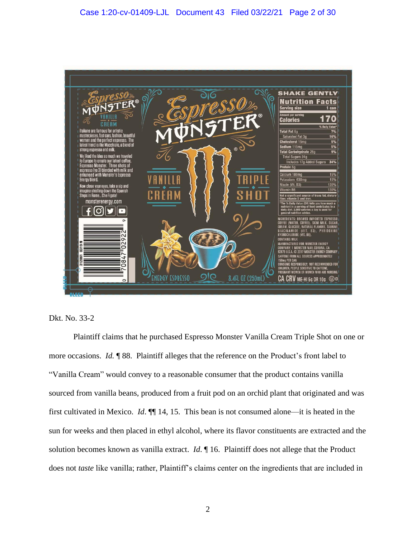



Plaintiff claims that he purchased Espresso Monster Vanilla Cream Triple Shot on one or more occasions. *Id.* ¶ 88. Plaintiff alleges that the reference on the Product's front label to "Vanilla Cream" would convey to a reasonable consumer that the product contains vanilla sourced from vanilla beans, produced from a fruit pod on an orchid plant that originated and was first cultivated in Mexico. *Id*. ¶¶ 14, 15. This bean is not consumed alone—it is heated in the sun for weeks and then placed in ethyl alcohol, where its flavor constituents are extracted and the solution becomes known as vanilla extract. *Id*. ¶ 16. Plaintiff does not allege that the Product does not *taste* like vanilla; rather, Plaintiff's claims center on the ingredients that are included in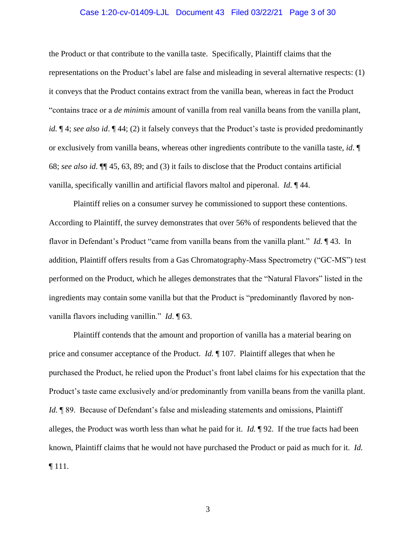### Case 1:20-cv-01409-LJL Document 43 Filed 03/22/21 Page 3 of 30

the Product or that contribute to the vanilla taste. Specifically, Plaintiff claims that the representations on the Product's label are false and misleading in several alternative respects: (1) it conveys that the Product contains extract from the vanilla bean, whereas in fact the Product "contains trace or a *de minimis* amount of vanilla from real vanilla beans from the vanilla plant, *id.*  $\P$  4; *see also id.*  $\P$  44; (2) it falsely conveys that the Product's taste is provided predominantly or exclusively from vanilla beans, whereas other ingredients contribute to the vanilla taste, *id*. ¶ 68; *see also id*. ¶¶ 45, 63, 89; and (3) it fails to disclose that the Product contains artificial vanilla, specifically vanillin and artificial flavors maltol and piperonal. *Id.* ¶ 44.

Plaintiff relies on a consumer survey he commissioned to support these contentions. According to Plaintiff, the survey demonstrates that over 56% of respondents believed that the flavor in Defendant's Product "came from vanilla beans from the vanilla plant." *Id.* ¶ 43. In addition, Plaintiff offers results from a Gas Chromatography-Mass Spectrometry ("GC-MS") test performed on the Product, which he alleges demonstrates that the "Natural Flavors" listed in the ingredients may contain some vanilla but that the Product is "predominantly flavored by nonvanilla flavors including vanillin." *Id*. ¶ 63.

Plaintiff contends that the amount and proportion of vanilla has a material bearing on price and consumer acceptance of the Product. *Id.* ¶ 107. Plaintiff alleges that when he purchased the Product, he relied upon the Product's front label claims for his expectation that the Product's taste came exclusively and/or predominantly from vanilla beans from the vanilla plant. *Id.* ¶ 89. Because of Defendant's false and misleading statements and omissions, Plaintiff alleges, the Product was worth less than what he paid for it. *Id.* ¶ 92. If the true facts had been known, Plaintiff claims that he would not have purchased the Product or paid as much for it. *Id.* ¶ 111.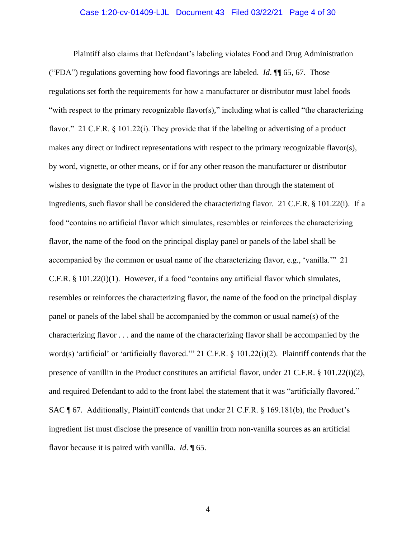### Case 1:20-cv-01409-LJL Document 43 Filed 03/22/21 Page 4 of 30

Plaintiff also claims that Defendant's labeling violates Food and Drug Administration ("FDA") regulations governing how food flavorings are labeled. *Id*. ¶¶ 65, 67. Those regulations set forth the requirements for how a manufacturer or distributor must label foods "with respect to the primary recognizable flavor(s)," including what is called "the characterizing flavor." 21 C.F.R. § 101.22(i). They provide that if the labeling or advertising of a product makes any direct or indirect representations with respect to the primary recognizable flavor(s), by word, vignette, or other means, or if for any other reason the manufacturer or distributor wishes to designate the type of flavor in the product other than through the statement of ingredients, such flavor shall be considered the characterizing flavor. 21 C.F.R. § 101.22(i). If a food "contains no artificial flavor which simulates, resembles or reinforces the characterizing flavor, the name of the food on the principal display panel or panels of the label shall be accompanied by the common or usual name of the characterizing flavor, e.g., 'vanilla.'" 21 C.F.R. § 101.22(i)(1). However, if a food "contains any artificial flavor which simulates, resembles or reinforces the characterizing flavor, the name of the food on the principal display panel or panels of the label shall be accompanied by the common or usual name(s) of the characterizing flavor . . . and the name of the characterizing flavor shall be accompanied by the word(s) 'artificial' or 'artificially flavored.'" 21 C.F.R. § 101.22(i)(2). Plaintiff contends that the presence of vanillin in the Product constitutes an artificial flavor, under 21 C.F.R. § 101.22(i)(2), and required Defendant to add to the front label the statement that it was "artificially flavored." SAC ¶ 67. Additionally, Plaintiff contends that under 21 C.F.R. § 169.181(b), the Product's ingredient list must disclose the presence of vanillin from non-vanilla sources as an artificial flavor because it is paired with vanilla. *Id*. ¶ 65.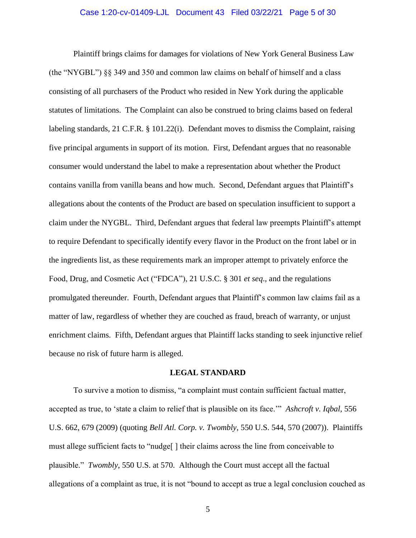### Case 1:20-cv-01409-LJL Document 43 Filed 03/22/21 Page 5 of 30

Plaintiff brings claims for damages for violations of New York General Business Law (the "NYGBL") §§ 349 and 350 and common law claims on behalf of himself and a class consisting of all purchasers of the Product who resided in New York during the applicable statutes of limitations. The Complaint can also be construed to bring claims based on federal labeling standards, 21 C.F.R. § 101.22(i). Defendant moves to dismiss the Complaint, raising five principal arguments in support of its motion. First, Defendant argues that no reasonable consumer would understand the label to make a representation about whether the Product contains vanilla from vanilla beans and how much. Second, Defendant argues that Plaintiff's allegations about the contents of the Product are based on speculation insufficient to support a claim under the NYGBL. Third, Defendant argues that federal law preempts Plaintiff's attempt to require Defendant to specifically identify every flavor in the Product on the front label or in the ingredients list, as these requirements mark an improper attempt to privately enforce the Food, Drug, and Cosmetic Act ("FDCA"), 21 U.S.C. § 301 *et seq*., and the regulations promulgated thereunder. Fourth, Defendant argues that Plaintiff's common law claims fail as a matter of law, regardless of whether they are couched as fraud, breach of warranty, or unjust enrichment claims. Fifth, Defendant argues that Plaintiff lacks standing to seek injunctive relief because no risk of future harm is alleged.

### **LEGAL STANDARD**

To survive a motion to dismiss, "a complaint must contain sufficient factual matter, accepted as true, to 'state a claim to relief that is plausible on its face.'" *Ashcroft v. Iqbal*, 556 U.S. 662, 679 (2009) (quoting *Bell Atl. Corp. v. Twombly*, 550 U.S. 544, 570 (2007)). Plaintiffs must allege sufficient facts to "nudge[ ] their claims across the line from conceivable to plausible." *Twombly*, 550 U.S. at 570. Although the Court must accept all the factual allegations of a complaint as true, it is not "bound to accept as true a legal conclusion couched as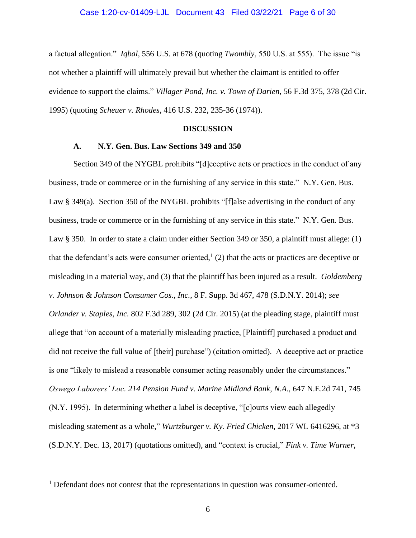a factual allegation." *Iqbal*, 556 U.S. at 678 (quoting *Twombly*, 550 U.S. at 555). The issue "is not whether a plaintiff will ultimately prevail but whether the claimant is entitled to offer evidence to support the claims." *Villager Pond, Inc. v. Town of Darien*, 56 F.3d 375, 378 (2d Cir. 1995) (quoting *Scheuer v. Rhodes*, 416 U.S. 232, 235-36 (1974)).

#### **DISCUSSION**

## **A. N.Y. Gen. Bus. Law Sections 349 and 350**

Section 349 of the NYGBL prohibits "[d]eceptive acts or practices in the conduct of any business, trade or commerce or in the furnishing of any service in this state." N.Y. Gen. Bus. Law § 349(a). Section 350 of the NYGBL prohibits "[f]alse advertising in the conduct of any business, trade or commerce or in the furnishing of any service in this state." N.Y. Gen. Bus. Law § 350. In order to state a claim under either Section 349 or 350, a plaintiff must allege: (1) that the defendant's acts were consumer oriented,  $(2)$  that the acts or practices are deceptive or misleading in a material way, and (3) that the plaintiff has been injured as a result. *Goldemberg v. Johnson & Johnson Consumer Cos., Inc.*, 8 F. Supp. 3d 467, 478 (S.D.N.Y. 2014); *see Orlander v. Staples, Inc.* 802 F.3d 289, 302 (2d Cir. 2015) (at the pleading stage, plaintiff must allege that "on account of a materially misleading practice, [Plaintiff] purchased a product and did not receive the full value of [their] purchase") (citation omitted). A deceptive act or practice is one "likely to mislead a reasonable consumer acting reasonably under the circumstances." *Oswego Laborers' Loc. 214 Pension Fund v. Marine Midland Bank, N.A.*, 647 N.E.2d 741, 745 (N.Y. 1995). In determining whether a label is deceptive, "[c]ourts view each allegedly misleading statement as a whole," *Wurtzburger v. Ky. Fried Chicken*, 2017 WL 6416296, at \*3 (S.D.N.Y. Dec. 13, 2017) (quotations omitted), and "context is crucial," *Fink v. Time Warner*,

<sup>&</sup>lt;sup>1</sup> Defendant does not contest that the representations in question was consumer-oriented.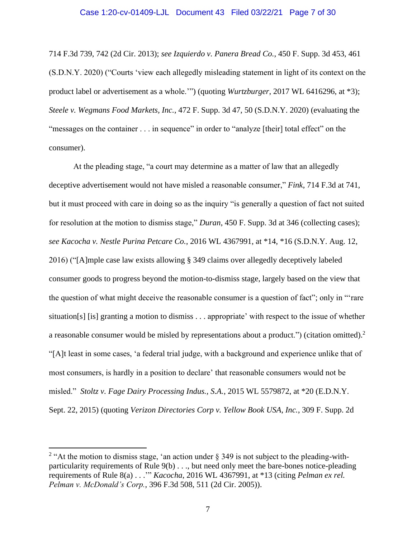### Case 1:20-cv-01409-LJL Document 43 Filed 03/22/21 Page 7 of 30

714 F.3d 739, 742 (2d Cir. 2013); *see Izquierdo v. Panera Bread Co.*, 450 F. Supp. 3d 453, 461 (S.D.N.Y. 2020) ("Courts 'view each allegedly misleading statement in light of its context on the product label or advertisement as a whole.'") (quoting *Wurtzburger*, 2017 WL 6416296, at \*3); *Steele v. Wegmans Food Markets, Inc.*, 472 F. Supp. 3d 47, 50 (S.D.N.Y. 2020) (evaluating the "messages on the container . . . in sequence" in order to "analyze [their] total effect" on the consumer).

At the pleading stage, "a court may determine as a matter of law that an allegedly deceptive advertisement would not have misled a reasonable consumer," *Fink*, 714 F.3d at 741, but it must proceed with care in doing so as the inquiry "is generally a question of fact not suited for resolution at the motion to dismiss stage," *Duran*, 450 F. Supp. 3d at 346 (collecting cases); *see Kacocha v. Nestle Purina Petcare Co.*, 2016 WL 4367991, at \*14, \*16 (S.D.N.Y. Aug. 12, 2016) ("[A]mple case law exists allowing § 349 claims over allegedly deceptively labeled consumer goods to progress beyond the motion-to-dismiss stage, largely based on the view that the question of what might deceive the reasonable consumer is a question of fact"; only in "'rare situation[s] [is] granting a motion to dismiss . . . appropriate' with respect to the issue of whether a reasonable consumer would be misled by representations about a product.") (citation omitted).<sup>2</sup> "[A]t least in some cases, 'a federal trial judge, with a background and experience unlike that of most consumers, is hardly in a position to declare' that reasonable consumers would not be misled." *Stoltz v. Fage Dairy Processing Indus., S.A.*, 2015 WL 5579872, at \*20 (E.D.N.Y. Sept. 22, 2015) (quoting *Verizon Directories Corp v. Yellow Book USA, Inc.*, 309 F. Supp. 2d

<sup>&</sup>lt;sup>2</sup> "At the motion to dismiss stage, 'an action under  $\S$  349 is not subject to the pleading-withparticularity requirements of Rule 9(b) . . ., but need only meet the bare-bones notice-pleading requirements of Rule 8(a) . . .'" *Kacocha*, 2016 WL 4367991, at \*13 (citing *Pelman ex rel. Pelman v. McDonald's Corp.*, 396 F.3d 508, 511 (2d Cir. 2005)).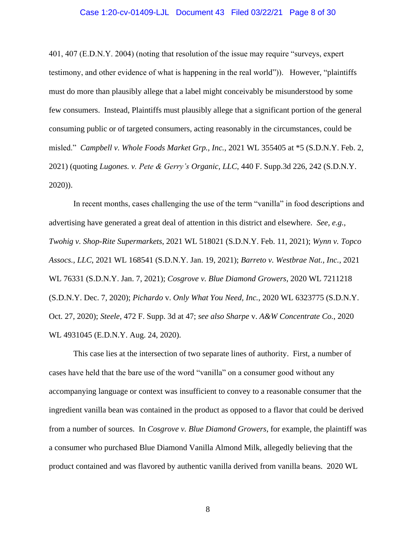### Case 1:20-cv-01409-LJL Document 43 Filed 03/22/21 Page 8 of 30

401, 407 (E.D.N.Y. 2004) (noting that resolution of the issue may require "surveys, expert testimony, and other evidence of what is happening in the real world")). However, "plaintiffs must do more than plausibly allege that a label might conceivably be misunderstood by some few consumers. Instead, Plaintiffs must plausibly allege that a significant portion of the general consuming public or of targeted consumers, acting reasonably in the circumstances, could be misled." *Campbell v. Whole Foods Market Grp., Inc.*, 2021 WL 355405 at \*5 (S.D.N.Y. Feb. 2, 2021) (quoting *Lugones. v. Pete & Gerry's Organic, LLC*, 440 F. Supp.3d 226, 242 (S.D.N.Y. 2020)).

In recent months, cases challenging the use of the term "vanilla" in food descriptions and advertising have generated a great deal of attention in this district and elsewhere. *See, e.g., Twohig v. Shop-Rite Supermarkets*, 2021 WL 518021 (S.D.N.Y. Feb. 11, 2021); *Wynn v. Topco Assocs., LLC*, 2021 WL 168541 (S.D.N.Y. Jan. 19, 2021); *Barreto v. Westbrae Nat., Inc.*, 2021 WL 76331 (S.D.N.Y. Jan. 7, 2021); *Cosgrove v. Blue Diamond Growers*, 2020 WL 7211218 (S.D.N.Y. Dec. 7, 2020); *Pichardo* v. *Only What You Need, Inc.*, 2020 WL 6323775 (S.D.N.Y. Oct. 27, 2020); *Steele*, 472 F. Supp. 3d at 47; *see also Sharpe* v. *A&W Concentrate Co.*, 2020 WL 4931045 (E.D.N.Y. Aug. 24, 2020).

This case lies at the intersection of two separate lines of authority. First, a number of cases have held that the bare use of the word "vanilla" on a consumer good without any accompanying language or context was insufficient to convey to a reasonable consumer that the ingredient vanilla bean was contained in the product as opposed to a flavor that could be derived from a number of sources. In *Cosgrove v. Blue Diamond Growers*, for example, the plaintiff was a consumer who purchased Blue Diamond Vanilla Almond Milk, allegedly believing that the product contained and was flavored by authentic vanilla derived from vanilla beans. 2020 WL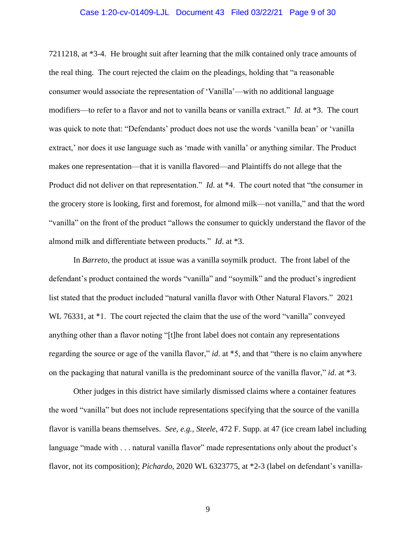### Case 1:20-cv-01409-LJL Document 43 Filed 03/22/21 Page 9 of 30

7211218, at \*3-4. He brought suit after learning that the milk contained only trace amounts of the real thing. The court rejected the claim on the pleadings, holding that "a reasonable consumer would associate the representation of 'Vanilla'—with no additional language modifiers—to refer to a flavor and not to vanilla beans or vanilla extract." *Id.* at \*3. The court was quick to note that: "Defendants' product does not use the words 'vanilla bean' or 'vanilla extract,' nor does it use language such as 'made with vanilla' or anything similar. The Product makes one representation—that it is vanilla flavored—and Plaintiffs do not allege that the Product did not deliver on that representation." *Id.* at \*4. The court noted that "the consumer in the grocery store is looking, first and foremost, for almond milk—not vanilla," and that the word "vanilla" on the front of the product "allows the consumer to quickly understand the flavor of the almond milk and differentiate between products." *Id*. at \*3.

In *Barreto*, the product at issue was a vanilla soymilk product. The front label of the defendant's product contained the words "vanilla" and "soymilk" and the product's ingredient list stated that the product included "natural vanilla flavor with Other Natural Flavors." 2021 WL 76331, at \*1. The court rejected the claim that the use of the word "vanilla" conveyed anything other than a flavor noting "[t]he front label does not contain any representations regarding the source or age of the vanilla flavor," *id*. at \*5, and that "there is no claim anywhere on the packaging that natural vanilla is the predominant source of the vanilla flavor," *id*. at \*3.

Other judges in this district have similarly dismissed claims where a container features the word "vanilla" but does not include representations specifying that the source of the vanilla flavor is vanilla beans themselves. *See, e.g.*, *Steele*, 472 F. Supp. at 47 (ice cream label including language "made with . . . natural vanilla flavor" made representations only about the product's flavor, not its composition); *Pichardo*, 2020 WL 6323775, at \*2-3 (label on defendant's vanilla-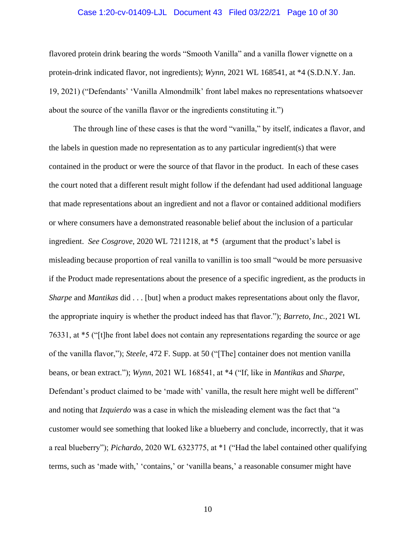### Case 1:20-cv-01409-LJL Document 43 Filed 03/22/21 Page 10 of 30

flavored protein drink bearing the words "Smooth Vanilla" and a vanilla flower vignette on a protein-drink indicated flavor, not ingredients); *Wynn*, 2021 WL 168541, at \*4 (S.D.N.Y. Jan. 19, 2021) ("Defendants' 'Vanilla Almondmilk' front label makes no representations whatsoever about the source of the vanilla flavor or the ingredients constituting it.")

The through line of these cases is that the word "vanilla," by itself, indicates a flavor, and the labels in question made no representation as to any particular ingredient(s) that were contained in the product or were the source of that flavor in the product. In each of these cases the court noted that a different result might follow if the defendant had used additional language that made representations about an ingredient and not a flavor or contained additional modifiers or where consumers have a demonstrated reasonable belief about the inclusion of a particular ingredient. *See Cosgrove*, 2020 WL 7211218, at \*5 (argument that the product's label is misleading because proportion of real vanilla to vanillin is too small "would be more persuasive if the Product made representations about the presence of a specific ingredient, as the products in *Sharpe* and *Mantikas* did . . . [but] when a product makes representations about only the flavor, the appropriate inquiry is whether the product indeed has that flavor."); *Barreto*, *Inc.*, 2021 WL 76331, at \*5 ("[t]he front label does not contain any representations regarding the source or age of the vanilla flavor,"); *Steele*, 472 F. Supp. at 50 ("[The] container does not mention vanilla beans, or bean extract."); *Wynn*, 2021 WL 168541, at \*4 ("If, like in *Mantikas* and *Sharpe*, Defendant's product claimed to be 'made with' vanilla, the result here might well be different" and noting that *Izquierdo* was a case in which the misleading element was the fact that "a customer would see something that looked like a blueberry and conclude, incorrectly, that it was a real blueberry"); *Pichardo*, 2020 WL 6323775, at \*1 ("Had the label contained other qualifying terms, such as 'made with,' 'contains,' or 'vanilla beans,' a reasonable consumer might have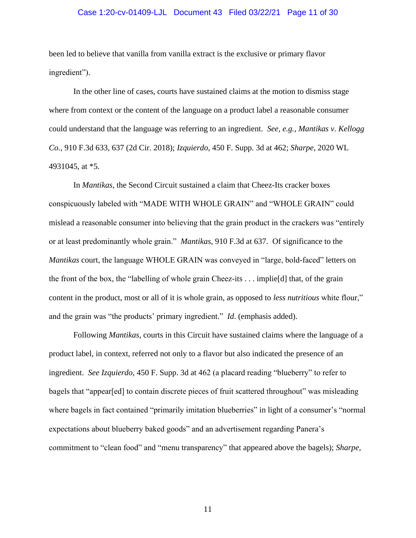### Case 1:20-cv-01409-LJL Document 43 Filed 03/22/21 Page 11 of 30

been led to believe that vanilla from vanilla extract is the exclusive or primary flavor ingredient").

In the other line of cases, courts have sustained claims at the motion to dismiss stage where from context or the content of the language on a product label a reasonable consumer could understand that the language was referring to an ingredient. *See, e.g.*, *Mantikas v. Kellogg Co.*, 910 F.3d 633, 637 (2d Cir. 2018); *Izquierdo*, 450 F. Supp. 3d at 462; *Sharpe*, 2020 WL 4931045, at \*5.

In *Mantikas*, the Second Circuit sustained a claim that Cheez-Its cracker boxes conspicuously labeled with "MADE WITH WHOLE GRAIN" and "WHOLE GRAIN" could mislead a reasonable consumer into believing that the grain product in the crackers was "entirely or at least predominantly whole grain." *Mantikas*, 910 F.3d at 637. Of significance to the *Mantikas* court, the language WHOLE GRAIN was conveyed in "large, bold-faced" letters on the front of the box, the "labelling of whole grain Cheez-its . . . implie[d] that, of the grain content in the product, most or all of it is whole grain, as opposed to *less nutritious* white flour," and the grain was "the products' primary ingredient." *Id*. (emphasis added).

Following *Mantikas*, courts in this Circuit have sustained claims where the language of a product label, in context, referred not only to a flavor but also indicated the presence of an ingredient. *See Izquierdo*, 450 F. Supp. 3d at 462 (a placard reading "blueberry" to refer to bagels that "appear[ed] to contain discrete pieces of fruit scattered throughout" was misleading where bagels in fact contained "primarily imitation blueberries" in light of a consumer's "normal expectations about blueberry baked goods" and an advertisement regarding Panera's commitment to "clean food" and "menu transparency" that appeared above the bagels); *Sharpe*,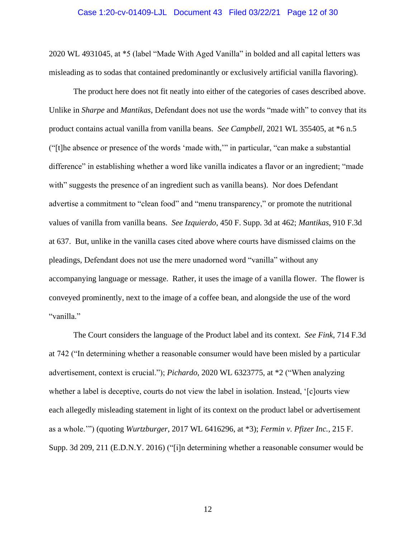### Case 1:20-cv-01409-LJL Document 43 Filed 03/22/21 Page 12 of 30

2020 WL 4931045, at \*5 (label "Made With Aged Vanilla" in bolded and all capital letters was misleading as to sodas that contained predominantly or exclusively artificial vanilla flavoring).

The product here does not fit neatly into either of the categories of cases described above. Unlike in *Sharpe* and *Mantikas*, Defendant does not use the words "made with" to convey that its product contains actual vanilla from vanilla beans. *See Campbell*, 2021 WL 355405, at \*6 n.5 ("[t]he absence or presence of the words 'made with,'" in particular, "can make a substantial difference" in establishing whether a word like vanilla indicates a flavor or an ingredient; "made with" suggests the presence of an ingredient such as vanilla beans). Nor does Defendant advertise a commitment to "clean food" and "menu transparency," or promote the nutritional values of vanilla from vanilla beans. *See Izquierdo*, 450 F. Supp. 3d at 462; *Mantikas*, 910 F.3d at 637. But, unlike in the vanilla cases cited above where courts have dismissed claims on the pleadings, Defendant does not use the mere unadorned word "vanilla" without any accompanying language or message. Rather, it uses the image of a vanilla flower. The flower is conveyed prominently, next to the image of a coffee bean, and alongside the use of the word "vanilla."

The Court considers the language of the Product label and its context. *See Fink*, 714 F.3d at 742 ("In determining whether a reasonable consumer would have been misled by a particular advertisement, context is crucial."); *Pichardo*, 2020 WL 6323775, at \*2 ("When analyzing whether a label is deceptive, courts do not view the label in isolation. Instead, '[c]ourts view each allegedly misleading statement in light of its context on the product label or advertisement as a whole.'") (quoting *Wurtzburger*, 2017 WL 6416296, at \*3); *Fermin v. Pfizer Inc.*, 215 F. Supp. 3d 209, 211 (E.D.N.Y. 2016) ("[i]n determining whether a reasonable consumer would be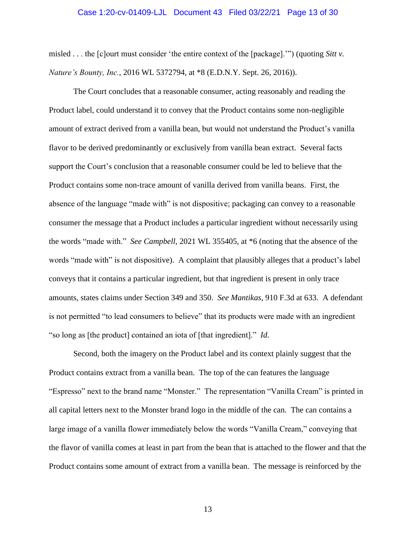### Case 1:20-cv-01409-LJL Document 43 Filed 03/22/21 Page 13 of 30

misled . . . the [c]ourt must consider 'the entire context of the [package].'") (quoting *Sitt v. Nature's Bounty, Inc.*, 2016 WL 5372794, at \*8 (E.D.N.Y. Sept. 26, 2016)).

The Court concludes that a reasonable consumer, acting reasonably and reading the Product label, could understand it to convey that the Product contains some non-negligible amount of extract derived from a vanilla bean, but would not understand the Product's vanilla flavor to be derived predominantly or exclusively from vanilla bean extract. Several facts support the Court's conclusion that a reasonable consumer could be led to believe that the Product contains some non-trace amount of vanilla derived from vanilla beans. First, the absence of the language "made with" is not dispositive; packaging can convey to a reasonable consumer the message that a Product includes a particular ingredient without necessarily using the words "made with." *See Campbell*, 2021 WL 355405, at \*6 (noting that the absence of the words "made with" is not dispositive). A complaint that plausibly alleges that a product's label conveys that it contains a particular ingredient, but that ingredient is present in only trace amounts, states claims under Section 349 and 350. *See Mantikas*, 910 F.3d at 633. A defendant is not permitted "to lead consumers to believe" that its products were made with an ingredient "so long as [the product] contained an iota of [that ingredient]." *Id*.

Second, both the imagery on the Product label and its context plainly suggest that the Product contains extract from a vanilla bean. The top of the can features the language "Espresso" next to the brand name "Monster." The representation "Vanilla Cream" is printed in all capital letters next to the Monster brand logo in the middle of the can. The can contains a large image of a vanilla flower immediately below the words "Vanilla Cream," conveying that the flavor of vanilla comes at least in part from the bean that is attached to the flower and that the Product contains some amount of extract from a vanilla bean. The message is reinforced by the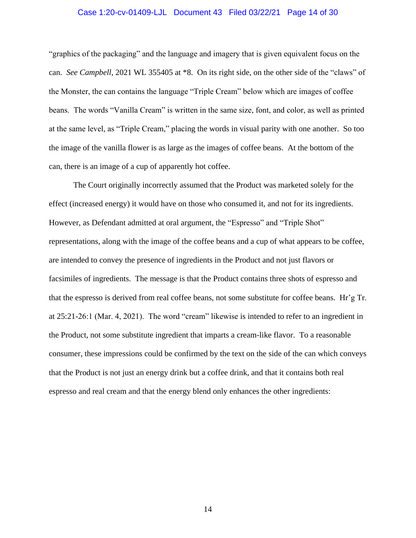### Case 1:20-cv-01409-LJL Document 43 Filed 03/22/21 Page 14 of 30

"graphics of the packaging" and the language and imagery that is given equivalent focus on the can. *See Campbell*, 2021 WL 355405 at \*8. On its right side, on the other side of the "claws" of the Monster, the can contains the language "Triple Cream" below which are images of coffee beans. The words "Vanilla Cream" is written in the same size, font, and color, as well as printed at the same level, as "Triple Cream," placing the words in visual parity with one another. So too the image of the vanilla flower is as large as the images of coffee beans. At the bottom of the can, there is an image of a cup of apparently hot coffee.

The Court originally incorrectly assumed that the Product was marketed solely for the effect (increased energy) it would have on those who consumed it, and not for its ingredients. However, as Defendant admitted at oral argument, the "Espresso" and "Triple Shot" representations, along with the image of the coffee beans and a cup of what appears to be coffee, are intended to convey the presence of ingredients in the Product and not just flavors or facsimiles of ingredients. The message is that the Product contains three shots of espresso and that the espresso is derived from real coffee beans, not some substitute for coffee beans. Hr'g Tr. at 25:21-26:1 (Mar. 4, 2021). The word "cream" likewise is intended to refer to an ingredient in the Product, not some substitute ingredient that imparts a cream-like flavor. To a reasonable consumer, these impressions could be confirmed by the text on the side of the can which conveys that the Product is not just an energy drink but a coffee drink, and that it contains both real espresso and real cream and that the energy blend only enhances the other ingredients: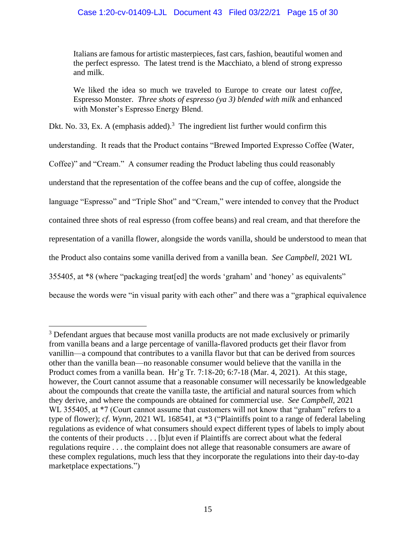# Case 1:20-cv-01409-LJL Document 43 Filed 03/22/21 Page 15 of 30

Italians are famous for artistic masterpieces, fast cars, fashion, beautiful women and the perfect espresso. The latest trend is the Macchiato, a blend of strong expresso and milk.

We liked the idea so much we traveled to Europe to create our latest *coffee*, Espresso Monster. *Three shots of espresso (ya 3) blended with milk* and enhanced with Monster's Espresso Energy Blend.

Dkt. No. 33, Ex. A (emphasis added).<sup>3</sup> The ingredient list further would confirm this understanding. It reads that the Product contains "Brewed Imported Expresso Coffee (Water, Coffee)" and "Cream." A consumer reading the Product labeling thus could reasonably understand that the representation of the coffee beans and the cup of coffee, alongside the language "Espresso" and "Triple Shot" and "Cream," were intended to convey that the Product contained three shots of real espresso (from coffee beans) and real cream, and that therefore the representation of a vanilla flower, alongside the words vanilla, should be understood to mean that the Product also contains some vanilla derived from a vanilla bean. *See Campbell*, 2021 WL 355405, at \*8 (where "packaging treat[ed] the words 'graham' and 'honey' as equivalents" because the words were "in visual parity with each other" and there was a "graphical equivalence

<sup>&</sup>lt;sup>3</sup> Defendant argues that because most vanilla products are not made exclusively or primarily from vanilla beans and a large percentage of vanilla-flavored products get their flavor from vanillin—a compound that contributes to a vanilla flavor but that can be derived from sources other than the vanilla bean—no reasonable consumer would believe that the vanilla in the Product comes from a vanilla bean. Hr'g Tr. 7:18-20; 6:7-18 (Mar. 4, 2021). At this stage, however, the Court cannot assume that a reasonable consumer will necessarily be knowledgeable about the compounds that create the vanilla taste, the artificial and natural sources from which they derive, and where the compounds are obtained for commercial use. *See Campbell*, 2021 WL 355405, at  $*7$  (Court cannot assume that customers will not know that "graham" refers to a type of flower); *cf*. *Wynn*, 2021 WL 168541, at \*3 ("Plaintiffs point to a range of federal labeling regulations as evidence of what consumers should expect different types of labels to imply about the contents of their products . . . [b]ut even if Plaintiffs are correct about what the federal regulations require . . . the complaint does not allege that reasonable consumers are aware of these complex regulations, much less that they incorporate the regulations into their day-to-day marketplace expectations.")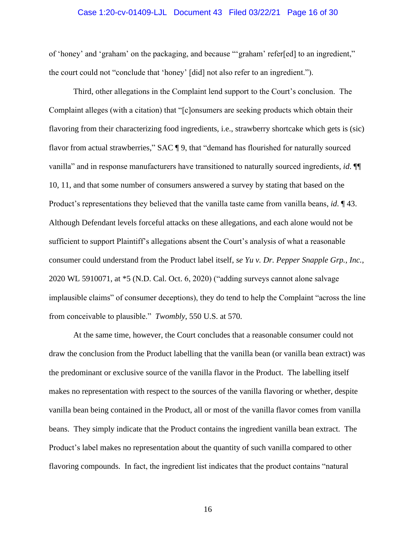### Case 1:20-cv-01409-LJL Document 43 Filed 03/22/21 Page 16 of 30

of 'honey' and 'graham' on the packaging, and because "'graham' refer[ed] to an ingredient," the court could not "conclude that 'honey' [did] not also refer to an ingredient.").

Third, other allegations in the Complaint lend support to the Court's conclusion. The Complaint alleges (with a citation) that "[c]onsumers are seeking products which obtain their flavoring from their characterizing food ingredients, i.e., strawberry shortcake which gets is (sic) flavor from actual strawberries," SAC ¶ 9, that "demand has flourished for naturally sourced vanilla" and in response manufacturers have transitioned to naturally sourced ingredients, *id*. ¶¶ 10, 11, and that some number of consumers answered a survey by stating that based on the Product's representations they believed that the vanilla taste came from vanilla beans, *id*. ¶ 43. Although Defendant levels forceful attacks on these allegations, and each alone would not be sufficient to support Plaintiff's allegations absent the Court's analysis of what a reasonable consumer could understand from the Product label itself, *se Yu v. Dr. Pepper Snapple Grp., Inc.*, 2020 WL 5910071, at \*5 (N.D. Cal. Oct. 6, 2020) ("adding surveys cannot alone salvage implausible claims" of consumer deceptions), they do tend to help the Complaint "across the line from conceivable to plausible." *Twombly*, 550 U.S. at 570.

At the same time, however, the Court concludes that a reasonable consumer could not draw the conclusion from the Product labelling that the vanilla bean (or vanilla bean extract) was the predominant or exclusive source of the vanilla flavor in the Product. The labelling itself makes no representation with respect to the sources of the vanilla flavoring or whether, despite vanilla bean being contained in the Product, all or most of the vanilla flavor comes from vanilla beans. They simply indicate that the Product contains the ingredient vanilla bean extract. The Product's label makes no representation about the quantity of such vanilla compared to other flavoring compounds. In fact, the ingredient list indicates that the product contains "natural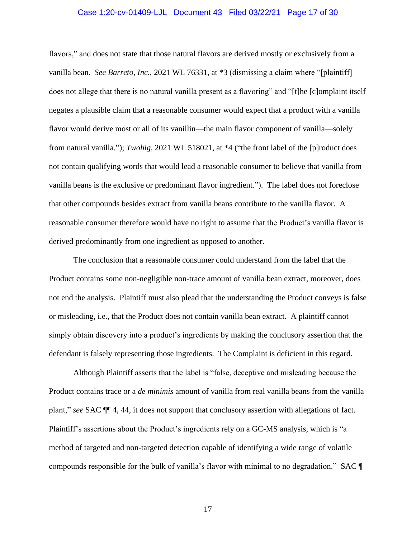### Case 1:20-cv-01409-LJL Document 43 Filed 03/22/21 Page 17 of 30

flavors," and does not state that those natural flavors are derived mostly or exclusively from a vanilla bean. *See Barreto*, *Inc.*, 2021 WL 76331, at \*3 (dismissing a claim where "[plaintiff] does not allege that there is no natural vanilla present as a flavoring" and "[t]he [c]omplaint itself negates a plausible claim that a reasonable consumer would expect that a product with a vanilla flavor would derive most or all of its vanillin—the main flavor component of vanilla—solely from natural vanilla."); *Twohig*, 2021 WL 518021, at \*4 ("the front label of the [p]roduct does not contain qualifying words that would lead a reasonable consumer to believe that vanilla from vanilla beans is the exclusive or predominant flavor ingredient."). The label does not foreclose that other compounds besides extract from vanilla beans contribute to the vanilla flavor. A reasonable consumer therefore would have no right to assume that the Product's vanilla flavor is derived predominantly from one ingredient as opposed to another.

The conclusion that a reasonable consumer could understand from the label that the Product contains some non-negligible non-trace amount of vanilla bean extract, moreover, does not end the analysis. Plaintiff must also plead that the understanding the Product conveys is false or misleading, i.e., that the Product does not contain vanilla bean extract. A plaintiff cannot simply obtain discovery into a product's ingredients by making the conclusory assertion that the defendant is falsely representing those ingredients. The Complaint is deficient in this regard.

Although Plaintiff asserts that the label is "false, deceptive and misleading because the Product contains trace or a *de minimis* amount of vanilla from real vanilla beans from the vanilla plant," *see* SAC ¶¶ 4, 44, it does not support that conclusory assertion with allegations of fact. Plaintiff's assertions about the Product's ingredients rely on a GC-MS analysis, which is "a method of targeted and non-targeted detection capable of identifying a wide range of volatile compounds responsible for the bulk of vanilla's flavor with minimal to no degradation." SAC ¶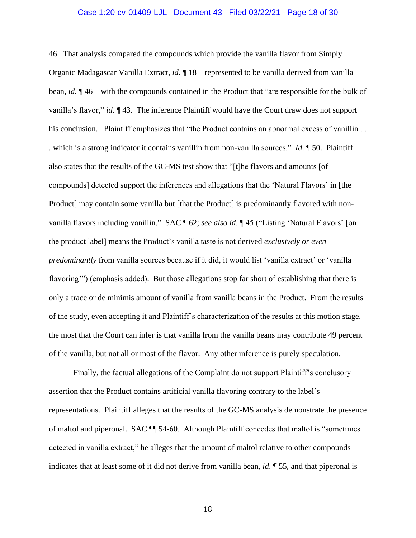### Case 1:20-cv-01409-LJL Document 43 Filed 03/22/21 Page 18 of 30

46. That analysis compared the compounds which provide the vanilla flavor from Simply Organic Madagascar Vanilla Extract, *id*. ¶ 18—represented to be vanilla derived from vanilla bean, *id*. ¶ 46—with the compounds contained in the Product that "are responsible for the bulk of vanilla's flavor," *id*. ¶ 43. The inference Plaintiff would have the Court draw does not support his conclusion. Plaintiff emphasizes that "the Product contains an abnormal excess of vanillin.. . which is a strong indicator it contains vanillin from non-vanilla sources." *Id*. ¶ 50. Plaintiff also states that the results of the GC-MS test show that "[t]he flavors and amounts [of compounds] detected support the inferences and allegations that the 'Natural Flavors' in [the Product] may contain some vanilla but [that the Product] is predominantly flavored with nonvanilla flavors including vanillin." SAC ¶ 62; *see also id*. ¶ 45 ("Listing 'Natural Flavors' [on the product label] means the Product's vanilla taste is not derived *exclusively or even predominantly* from vanilla sources because if it did, it would list 'vanilla extract' or 'vanilla flavoring'") (emphasis added). But those allegations stop far short of establishing that there is only a trace or de minimis amount of vanilla from vanilla beans in the Product. From the results of the study, even accepting it and Plaintiff's characterization of the results at this motion stage, the most that the Court can infer is that vanilla from the vanilla beans may contribute 49 percent of the vanilla, but not all or most of the flavor. Any other inference is purely speculation.

Finally, the factual allegations of the Complaint do not support Plaintiff's conclusory assertion that the Product contains artificial vanilla flavoring contrary to the label's representations. Plaintiff alleges that the results of the GC-MS analysis demonstrate the presence of maltol and piperonal. SAC ¶¶ 54-60. Although Plaintiff concedes that maltol is "sometimes detected in vanilla extract," he alleges that the amount of maltol relative to other compounds indicates that at least some of it did not derive from vanilla bean, *id*. ¶ 55, and that piperonal is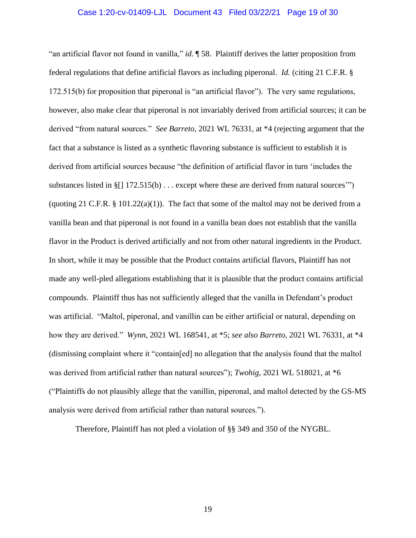### Case 1:20-cv-01409-LJL Document 43 Filed 03/22/21 Page 19 of 30

"an artificial flavor not found in vanilla," *id*. ¶ 58. Plaintiff derives the latter proposition from federal regulations that define artificial flavors as including piperonal. *Id.* (citing 21 C.F.R. § 172.515(b) for proposition that piperonal is "an artificial flavor"). The very same regulations, however, also make clear that piperonal is not invariably derived from artificial sources; it can be derived "from natural sources." *See Barreto*, 2021 WL 76331, at \*4 (rejecting argument that the fact that a substance is listed as a synthetic flavoring substance is sufficient to establish it is derived from artificial sources because "the definition of artificial flavor in turn 'includes the substances listed in §[] 172.515(b) . . . except where these are derived from natural sources'") (quoting 21 C.F.R.  $\S$  101.22(a)(1)). The fact that some of the maltol may not be derived from a vanilla bean and that piperonal is not found in a vanilla bean does not establish that the vanilla flavor in the Product is derived artificially and not from other natural ingredients in the Product. In short, while it may be possible that the Product contains artificial flavors, Plaintiff has not made any well-pled allegations establishing that it is plausible that the product contains artificial compounds. Plaintiff thus has not sufficiently alleged that the vanilla in Defendant's product was artificial. "Maltol, piperonal, and vanillin can be either artificial or natural, depending on how they are derived." *Wynn*, 2021 WL 168541, at \*5; *see also Barreto*, 2021 WL 76331, at \*4 (dismissing complaint where it "contain[ed] no allegation that the analysis found that the maltol was derived from artificial rather than natural sources"); *Twohig*, 2021 WL 518021, at \*6 ("Plaintiffs do not plausibly allege that the vanillin, piperonal, and maltol detected by the GS-MS analysis were derived from artificial rather than natural sources.").

Therefore, Plaintiff has not pled a violation of §§ 349 and 350 of the NYGBL.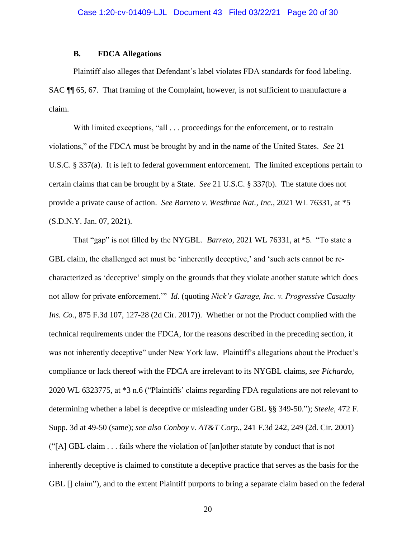## **B. FDCA Allegations**

Plaintiff also alleges that Defendant's label violates FDA standards for food labeling. SAC ¶¶ 65, 67. That framing of the Complaint, however, is not sufficient to manufacture a claim.

With limited exceptions, "all . . . proceedings for the enforcement, or to restrain violations," of the FDCA must be brought by and in the name of the United States. *See* 21 U.S.C. § 337(a). It is left to federal government enforcement. The limited exceptions pertain to certain claims that can be brought by a State. *See* 21 U.S.C. § 337(b). The statute does not provide a private cause of action. *See Barreto v. Westbrae Nat., Inc.*, 2021 WL 76331, at \*5 (S.D.N.Y. Jan. 07, 2021).

That "gap" is not filled by the NYGBL. *Barreto*, 2021 WL 76331, at \*5. "To state a GBL claim, the challenged act must be 'inherently deceptive,' and 'such acts cannot be recharacterized as 'deceptive' simply on the grounds that they violate another statute which does not allow for private enforcement.'" *Id.* (quoting *Nick's Garage, Inc. v. Progressive Casualty Ins. Co.*, 875 F.3d 107, 127-28 (2d Cir. 2017)). Whether or not the Product complied with the technical requirements under the FDCA, for the reasons described in the preceding section, it was not inherently deceptive" under New York law. Plaintiff's allegations about the Product's compliance or lack thereof with the FDCA are irrelevant to its NYGBL claims, *see Pichardo*, 2020 WL 6323775, at \*3 n.6 ("Plaintiffs' claims regarding FDA regulations are not relevant to determining whether a label is deceptive or misleading under GBL §§ 349-50."); *Steele*, 472 F. Supp. 3d at 49-50 (same); *see also Conboy v. AT&T Corp.*, 241 F.3d 242, 249 (2d. Cir. 2001) ("[A] GBL claim . . . fails where the violation of [an]other statute by conduct that is not inherently deceptive is claimed to constitute a deceptive practice that serves as the basis for the GBL [] claim"), and to the extent Plaintiff purports to bring a separate claim based on the federal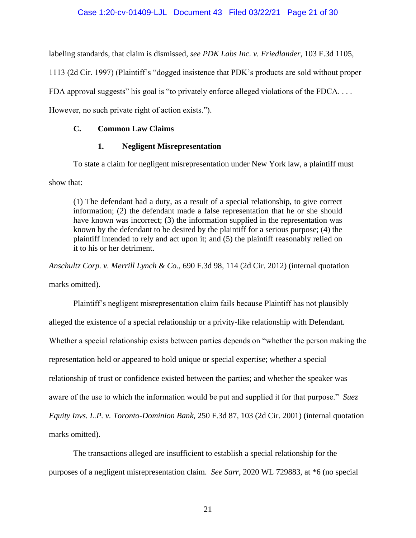labeling standards, that claim is dismissed, *see PDK Labs Inc. v. Friedlander*, 103 F.3d 1105,

1113 (2d Cir. 1997) (Plaintiff's "dogged insistence that PDK's products are sold without proper

FDA approval suggests" his goal is "to privately enforce alleged violations of the FDCA....

However, no such private right of action exists.").

# **C. Common Law Claims**

# **1. Negligent Misrepresentation**

To state a claim for negligent misrepresentation under New York law, a plaintiff must

show that:

(1) The defendant had a duty, as a result of a special relationship, to give correct information; (2) the defendant made a false representation that he or she should have known was incorrect; (3) the information supplied in the representation was known by the defendant to be desired by the plaintiff for a serious purpose; (4) the plaintiff intended to rely and act upon it; and (5) the plaintiff reasonably relied on it to his or her detriment.

*Anschultz Corp. v. Merrill Lynch & Co.*, 690 F.3d 98, 114 (2d Cir. 2012) (internal quotation

marks omitted).

Plaintiff's negligent misrepresentation claim fails because Plaintiff has not plausibly alleged the existence of a special relationship or a privity-like relationship with Defendant. Whether a special relationship exists between parties depends on "whether the person making the representation held or appeared to hold unique or special expertise; whether a special relationship of trust or confidence existed between the parties; and whether the speaker was aware of the use to which the information would be put and supplied it for that purpose." *Suez Equity Invs. L.P. v. Toronto-Dominion Bank*, 250 F.3d 87, 103 (2d Cir. 2001) (internal quotation marks omitted).

The transactions alleged are insufficient to establish a special relationship for the purposes of a negligent misrepresentation claim. *See Sarr*, 2020 WL 729883, at \*6 (no special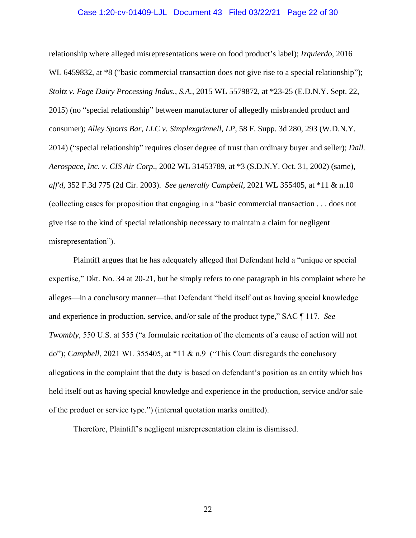### Case 1:20-cv-01409-LJL Document 43 Filed 03/22/21 Page 22 of 30

relationship where alleged misrepresentations were on food product's label); *Izquierdo*, 2016 WL 6459832, at  $*8$  ("basic commercial transaction does not give rise to a special relationship"); *Stoltz v. Fage Dairy Processing Indus., S.A.*, 2015 WL 5579872, at \*23-25 (E.D.N.Y. Sept. 22, 2015) (no "special relationship" between manufacturer of allegedly misbranded product and consumer); *Alley Sports Bar, LLC v. Simplexgrinnell, LP*, 58 F. Supp. 3d 280, 293 (W.D.N.Y. 2014) ("special relationship" requires closer degree of trust than ordinary buyer and seller); *Dall. Aerospace, Inc. v. CIS Air Corp*., 2002 WL 31453789, at \*3 (S.D.N.Y. Oct. 31, 2002) (same), *aff'd*, 352 F.3d 775 (2d Cir. 2003). *See generally Campbell*, 2021 WL 355405, at \*11 & n.10 (collecting cases for proposition that engaging in a "basic commercial transaction . . . does not give rise to the kind of special relationship necessary to maintain a claim for negligent misrepresentation").

Plaintiff argues that he has adequately alleged that Defendant held a "unique or special expertise," Dkt. No. 34 at 20-21, but he simply refers to one paragraph in his complaint where he alleges—in a conclusory manner—that Defendant "held itself out as having special knowledge and experience in production, service, and/or sale of the product type," SAC ¶ 117. *See Twombly*, 550 U.S. at 555 ("a formulaic recitation of the elements of a cause of action will not do"); *Campbell*, 2021 WL 355405, at \*11 & n.9 ("This Court disregards the conclusory allegations in the complaint that the duty is based on defendant's position as an entity which has held itself out as having special knowledge and experience in the production, service and/or sale of the product or service type.") (internal quotation marks omitted).

Therefore, Plaintiff's negligent misrepresentation claim is dismissed.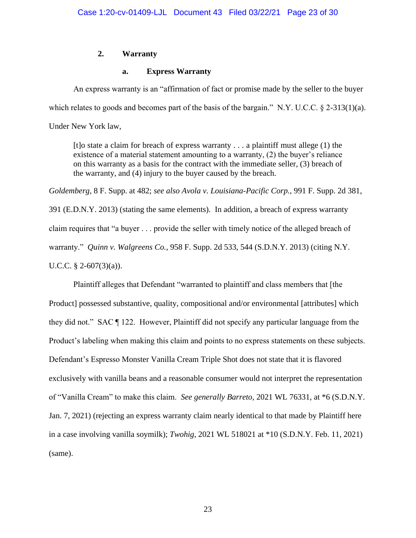# **2. Warranty**

# **a. Express Warranty**

An express warranty is an "affirmation of fact or promise made by the seller to the buyer which relates to goods and becomes part of the basis of the bargain." N.Y. U.C.C. § 2-313(1)(a). Under New York law,

[t]o state a claim for breach of express warranty . . . a plaintiff must allege (1) the existence of a material statement amounting to a warranty, (2) the buyer's reliance on this warranty as a basis for the contract with the immediate seller, (3) breach of the warranty, and (4) injury to the buyer caused by the breach.

*Goldemberg*, 8 F. Supp. at 482; *see also Avola v. Louisiana-Pacific Corp.*, 991 F. Supp. 2d 381,

391 (E.D.N.Y. 2013) (stating the same elements). In addition, a breach of express warranty claim requires that "a buyer . . . provide the seller with timely notice of the alleged breach of warranty." *Quinn v. Walgreens Co.*, 958 F. Supp. 2d 533, 544 (S.D.N.Y. 2013) (citing N.Y. U.C.C.  $\S$  2-607(3)(a)).

Plaintiff alleges that Defendant "warranted to plaintiff and class members that [the Product] possessed substantive, quality, compositional and/or environmental [attributes] which they did not." SAC ¶ 122. However, Plaintiff did not specify any particular language from the Product's labeling when making this claim and points to no express statements on these subjects. Defendant's Espresso Monster Vanilla Cream Triple Shot does not state that it is flavored exclusively with vanilla beans and a reasonable consumer would not interpret the representation of "Vanilla Cream" to make this claim. *See generally Barreto*, 2021 WL 76331, at \*6 (S.D.N.Y. Jan. 7, 2021) (rejecting an express warranty claim nearly identical to that made by Plaintiff here in a case involving vanilla soymilk); *Twohig*, 2021 WL 518021 at \*10 (S.D.N.Y. Feb. 11, 2021) (same).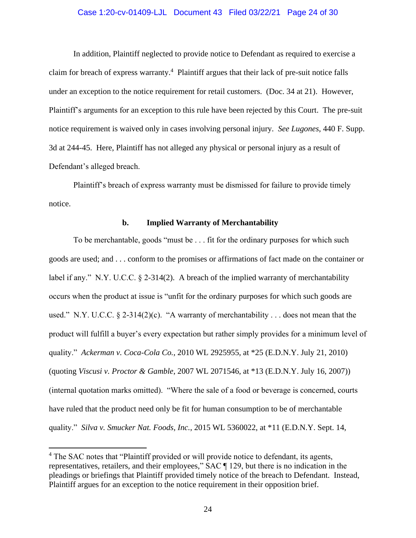### Case 1:20-cv-01409-LJL Document 43 Filed 03/22/21 Page 24 of 30

In addition, Plaintiff neglected to provide notice to Defendant as required to exercise a claim for breach of express warranty.<sup>4</sup> Plaintiff argues that their lack of pre-suit notice falls under an exception to the notice requirement for retail customers. (Doc. 34 at 21). However, Plaintiff's arguments for an exception to this rule have been rejected by this Court. The pre-suit notice requirement is waived only in cases involving personal injury. *See Lugones*, 440 F. Supp. 3d at 244-45. Here, Plaintiff has not alleged any physical or personal injury as a result of Defendant's alleged breach.

Plaintiff's breach of express warranty must be dismissed for failure to provide timely notice.

### **b. Implied Warranty of Merchantability**

To be merchantable, goods "must be . . . fit for the ordinary purposes for which such goods are used; and . . . conform to the promises or affirmations of fact made on the container or label if any." N.Y. U.C.C.  $\S$  2-314(2). A breach of the implied warranty of merchantability occurs when the product at issue is "unfit for the ordinary purposes for which such goods are used." N.Y. U.C.C.  $\S 2-314(2)(c)$ . "A warranty of merchantability ... does not mean that the product will fulfill a buyer's every expectation but rather simply provides for a minimum level of quality." *Ackerman v. Coca-Cola Co.*, 2010 WL 2925955, at \*25 (E.D.N.Y. July 21, 2010) (quoting *Viscusi v. Proctor & Gamble*, 2007 WL 2071546, at \*13 (E.D.N.Y. July 16, 2007)) (internal quotation marks omitted). "Where the sale of a food or beverage is concerned, courts have ruled that the product need only be fit for human consumption to be of merchantable quality." *Silva v. Smucker Nat. Foods, Inc.*, 2015 WL 5360022, at \*11 (E.D.N.Y. Sept. 14,

<sup>&</sup>lt;sup>4</sup> The SAC notes that "Plaintiff provided or will provide notice to defendant, its agents, representatives, retailers, and their employees," SAC ¶ 129, but there is no indication in the pleadings or briefings that Plaintiff provided timely notice of the breach to Defendant. Instead, Plaintiff argues for an exception to the notice requirement in their opposition brief.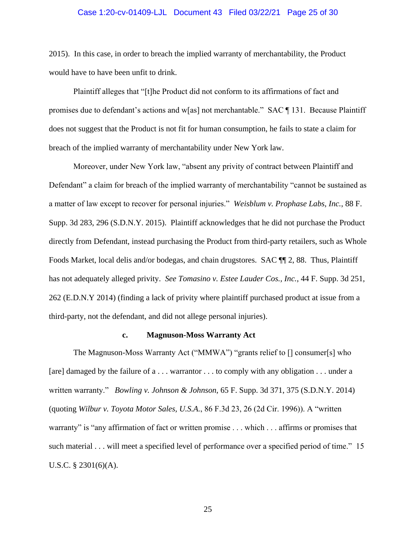### Case 1:20-cv-01409-LJL Document 43 Filed 03/22/21 Page 25 of 30

2015). In this case, in order to breach the implied warranty of merchantability, the Product would have to have been unfit to drink.

Plaintiff alleges that "[t]he Product did not conform to its affirmations of fact and promises due to defendant's actions and w[as] not merchantable." SAC ¶ 131. Because Plaintiff does not suggest that the Product is not fit for human consumption, he fails to state a claim for breach of the implied warranty of merchantability under New York law.

Moreover, under New York law, "absent any privity of contract between Plaintiff and Defendant" a claim for breach of the implied warranty of merchantability "cannot be sustained as a matter of law except to recover for personal injuries." *Weisblum v. Prophase Labs, Inc.*, 88 F. Supp. 3d 283, 296 (S.D.N.Y. 2015). Plaintiff acknowledges that he did not purchase the Product directly from Defendant, instead purchasing the Product from third-party retailers, such as Whole Foods Market, local delis and/or bodegas, and chain drugstores. SAC  $\P$  2, 88. Thus, Plaintiff has not adequately alleged privity. *See Tomasino v. Estee Lauder Cos., Inc.*, 44 F. Supp. 3d 251, 262 (E.D.N.Y 2014) (finding a lack of privity where plaintiff purchased product at issue from a third-party, not the defendant, and did not allege personal injuries).

### **c. Magnuson-Moss Warranty Act**

The Magnuson-Moss Warranty Act ("MMWA") "grants relief to [] consumer[s] who [are] damaged by the failure of a . . . warrantor . . . to comply with any obligation . . . under a written warranty." *Bowling v. Johnson & Johnson*, 65 F. Supp. 3d 371, 375 (S.D.N.Y. 2014) (quoting *Wilbur v. Toyota Motor Sales, U.S.A.*, 86 F.3d 23, 26 (2d Cir. 1996)). A "written warranty" is "any affirmation of fact or written promise . . . which . . . affirms or promises that such material . . . will meet a specified level of performance over a specified period of time." 15 U.S.C. § 2301(6)(A).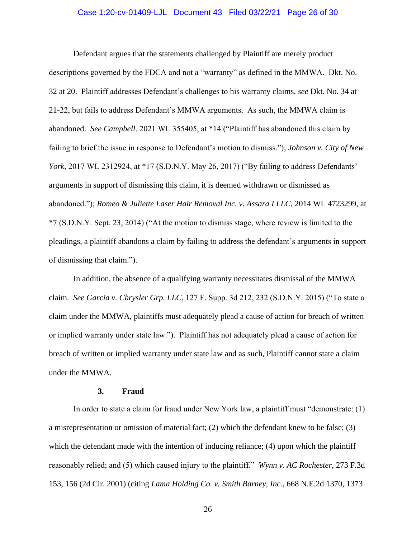### Case 1:20-cv-01409-LJL Document 43 Filed 03/22/21 Page 26 of 30

Defendant argues that the statements challenged by Plaintiff are merely product descriptions governed by the FDCA and not a "warranty" as defined in the MMWA. Dkt. No. 32 at 20. Plaintiff addresses Defendant's challenges to his warranty claims, *see* Dkt. No. 34 at 21-22, but fails to address Defendant's MMWA arguments. As such, the MMWA claim is abandoned. *See Campbell*, 2021 WL 355405, at \*14 ("Plaintiff has abandoned this claim by failing to brief the issue in response to Defendant's motion to dismiss."); *Johnson v. City of New York*, 2017 WL 2312924, at \*17 (S.D.N.Y. May 26, 2017) ("By failing to address Defendants' arguments in support of dismissing this claim, it is deemed withdrawn or dismissed as abandoned."); *Romeo & Juliette Laser Hair Removal Inc. v. Assara I LLC*, 2014 WL 4723299, at \*7 (S.D.N.Y. Sept. 23, 2014) ("At the motion to dismiss stage, where review is limited to the pleadings, a plaintiff abandons a claim by failing to address the defendant's arguments in support of dismissing that claim.").

In addition, the absence of a qualifying warranty necessitates dismissal of the MMWA claim. *See Garcia v. Chrysler Grp. LLC*, 127 F. Supp. 3d 212, 232 (S.D.N.Y. 2015) ("To state a claim under the MMWA, plaintiffs must adequately plead a cause of action for breach of written or implied warranty under state law."). Plaintiff has not adequately plead a cause of action for breach of written or implied warranty under state law and as such, Plaintiff cannot state a claim under the MMWA.

#### **3. Fraud**

In order to state a claim for fraud under New York law, a plaintiff must "demonstrate: (1) a misrepresentation or omission of material fact; (2) which the defendant knew to be false; (3) which the defendant made with the intention of inducing reliance; (4) upon which the plaintiff reasonably relied; and (5) which caused injury to the plaintiff." *Wynn v. AC Rochester*, 273 F.3d 153, 156 (2d Cir. 2001) (citing *Lama Holding Co. v. Smith Barney, Inc.*, 668 N.E.2d 1370, 1373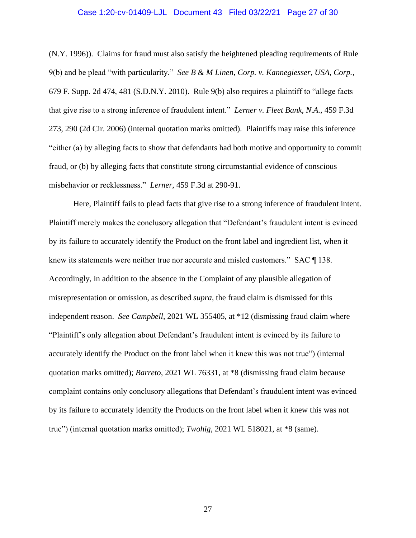### Case 1:20-cv-01409-LJL Document 43 Filed 03/22/21 Page 27 of 30

(N.Y. 1996)). Claims for fraud must also satisfy the heightened pleading requirements of Rule 9(b) and be plead "with particularity." *See B & M Linen, Corp. v. Kannegiesser, USA, Corp.*, 679 F. Supp. 2d 474, 481 (S.D.N.Y. 2010). Rule 9(b) also requires a plaintiff to "allege facts that give rise to a strong inference of fraudulent intent." *Lerner v. Fleet Bank, N.A.*, 459 F.3d 273, 290 (2d Cir. 2006) (internal quotation marks omitted). Plaintiffs may raise this inference "either (a) by alleging facts to show that defendants had both motive and opportunity to commit fraud, or (b) by alleging facts that constitute strong circumstantial evidence of conscious misbehavior or recklessness." *Lerner*, 459 F.3d at 290-91.

Here, Plaintiff fails to plead facts that give rise to a strong inference of fraudulent intent. Plaintiff merely makes the conclusory allegation that "Defendant's fraudulent intent is evinced by its failure to accurately identify the Product on the front label and ingredient list, when it knew its statements were neither true nor accurate and misled customers." SAC ¶ 138. Accordingly, in addition to the absence in the Complaint of any plausible allegation of misrepresentation or omission, as described *supra*, the fraud claim is dismissed for this independent reason. *See Campbell*, 2021 WL 355405, at \*12 (dismissing fraud claim where "Plaintiff's only allegation about Defendant's fraudulent intent is evinced by its failure to accurately identify the Product on the front label when it knew this was not true") (internal quotation marks omitted); *Barreto*, 2021 WL 76331, at \*8 (dismissing fraud claim because complaint contains only conclusory allegations that Defendant's fraudulent intent was evinced by its failure to accurately identify the Products on the front label when it knew this was not true") (internal quotation marks omitted); *Twohig*, 2021 WL 518021, at \*8 (same).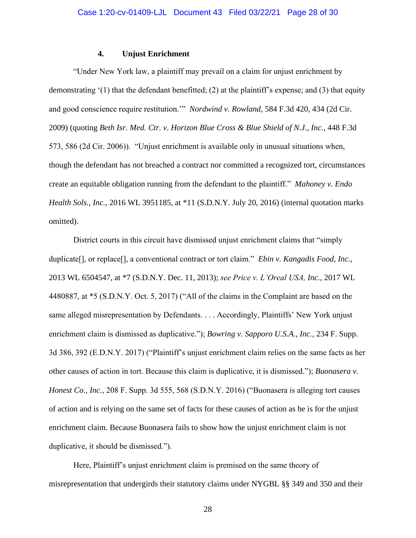## **4. Unjust Enrichment**

"Under New York law, a plaintiff may prevail on a claim for unjust enrichment by demonstrating  $(1)$  that the defendant benefitted; (2) at the plaintiff's expense; and (3) that equity and good conscience require restitution.'" *Nordwind v. Rowland*, 584 F.3d 420, 434 (2d Cir. 2009) (quoting *Beth Isr. Med. Ctr. v. Horizon Blue Cross & Blue Shield of N.J., Inc.*, 448 F.3d 573, 586 (2d Cir. 2006)). "Unjust enrichment is available only in unusual situations when, though the defendant has not breached a contract nor committed a recognized tort, circumstances create an equitable obligation running from the defendant to the plaintiff." *Mahoney v. Endo Health Sols., Inc.*, 2016 WL 3951185, at \*11 (S.D.N.Y. July 20, 2016) (internal quotation marks omitted).

District courts in this circuit have dismissed unjust enrichment claims that "simply duplicate[], or replace[], a conventional contract or tort claim." *Ebin v. Kangadis Food, Inc.*, 2013 WL 6504547, at \*7 (S.D.N.Y. Dec. 11, 2013); *see Price v. L'Oreal USA, Inc.*, 2017 WL 4480887, at \*5 (S.D.N.Y. Oct. 5, 2017) ("All of the claims in the Complaint are based on the same alleged misrepresentation by Defendants. . . . Accordingly, Plaintiffs' New York unjust enrichment claim is dismissed as duplicative."); *Bowring v. Sapporo U.S.A., Inc.*, 234 F. Supp. 3d 386, 392 (E.D.N.Y. 2017) ("Plaintiff's unjust enrichment claim relies on the same facts as her other causes of action in tort. Because this claim is duplicative, it is dismissed."); *Buonasera v. Honest Co., Inc.*, 208 F. Supp. 3d 555, 568 (S.D.N.Y. 2016) ("Buonasera is alleging tort causes of action and is relying on the same set of facts for these causes of action as he is for the unjust enrichment claim. Because Buonasera fails to show how the unjust enrichment claim is not duplicative, it should be dismissed.").

Here, Plaintiff's unjust enrichment claim is premised on the same theory of misrepresentation that undergirds their statutory claims under NYGBL §§ 349 and 350 and their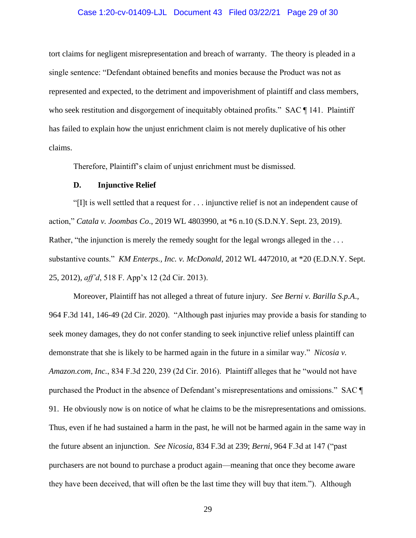### Case 1:20-cv-01409-LJL Document 43 Filed 03/22/21 Page 29 of 30

tort claims for negligent misrepresentation and breach of warranty. The theory is pleaded in a single sentence: "Defendant obtained benefits and monies because the Product was not as represented and expected, to the detriment and impoverishment of plaintiff and class members, who seek restitution and disgorgement of inequitably obtained profits." SAC ¶ 141. Plaintiff has failed to explain how the unjust enrichment claim is not merely duplicative of his other claims.

Therefore, Plaintiff's claim of unjust enrichment must be dismissed.

#### **D. Injunctive Relief**

"[I]t is well settled that a request for . . . injunctive relief is not an independent cause of action," *Catala v. Joombas Co*., 2019 WL 4803990, at \*6 n.10 (S.D.N.Y. Sept. 23, 2019). Rather, "the injunction is merely the remedy sought for the legal wrongs alleged in the ... substantive counts." *KM Enterps., Inc. v. McDonald*, 2012 WL 4472010, at \*20 (E.D.N.Y. Sept. 25, 2012), *aff'd*, 518 F. App'x 12 (2d Cir. 2013).

Moreover, Plaintiff has not alleged a threat of future injury. *See Berni v. Barilla S.p.A*., 964 F.3d 141, 146-49 (2d Cir. 2020). "Although past injuries may provide a basis for standing to seek money damages, they do not confer standing to seek injunctive relief unless plaintiff can demonstrate that she is likely to be harmed again in the future in a similar way." *Nicosia v. Amazon.com, Inc.*, 834 F.3d 220, 239 (2d Cir. 2016). Plaintiff alleges that he "would not have purchased the Product in the absence of Defendant's misrepresentations and omissions." SAC ¶ 91. He obviously now is on notice of what he claims to be the misrepresentations and omissions. Thus, even if he had sustained a harm in the past, he will not be harmed again in the same way in the future absent an injunction. *See Nicosia*, 834 F.3d at 239; *Berni*, 964 F.3d at 147 ("past purchasers are not bound to purchase a product again—meaning that once they become aware they have been deceived, that will often be the last time they will buy that item."). Although